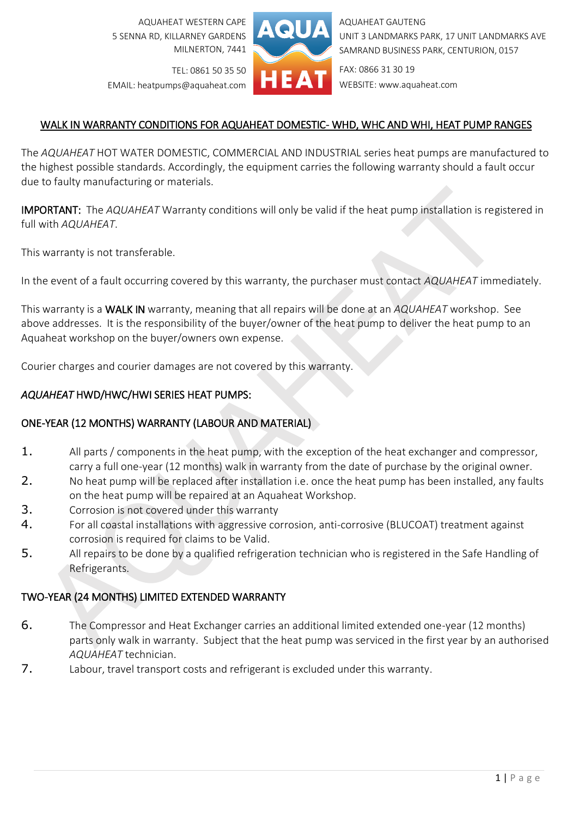AQUAHEAT WESTERN CAPE 5 SENNA RD, KILLARNEY GARDENS MILNERTON, 7441



AQUAHEAT GAUTENG UNIT 3 LANDMARKS PARK, 17 UNIT LANDMARKS AVE SAMRAND BUSINESS PARK, CENTURION, 0157

TEL: 0861 50 35 50 EMAIL: heatpumps@aquaheat.com FAX: 0866 31 30 19 WEBSITE: www.aquaheat.com

# WALK IN WARRANTY CONDITIONS FOR AQUAHEAT DOMESTIC- WHD, WHC AND WHI, HEAT PUMP RANGES

The *AQUAHEAT* HOT WATER DOMESTIC, COMMERCIAL AND INDUSTRIAL series heat pumps are manufactured to the highest possible standards. Accordingly, the equipment carries the following warranty should a fault occur due to faulty manufacturing or materials.

IMPORTANT: The *AQUAHEAT* Warranty conditions will only be valid if the heat pump installation is registered in full with *AQUAHEAT*.

This warranty is not transferable.

In the event of a fault occurring covered by this warranty, the purchaser must contact *AQUAHEAT* immediately.

This warranty is a WALK IN warranty, meaning that all repairs will be done at an *AQUAHEAT* workshop. See above addresses. It is the responsibility of the buyer/owner of the heat pump to deliver the heat pump to an Aquaheat workshop on the buyer/owners own expense.

Courier charges and courier damages are not covered by this warranty.

## *AQUAHEAT* HWD/HWC/HWI SERIES HEAT PUMPS:

## ONE-YEAR (12 MONTHS) WARRANTY (LABOUR AND MATERIAL)

- 1. All parts / components in the heat pump, with the exception of the heat exchanger and compressor, carry a full one-year (12 months) walk in warranty from the date of purchase by the original owner.
- 2. No heat pump will be replaced after installation i.e. once the heat pump has been installed, any faults on the heat pump will be repaired at an Aquaheat Workshop.
- 3. Corrosion is not covered under this warranty
- 4. For all coastal installations with aggressive corrosion, anti-corrosive (BLUCOAT) treatment against corrosion is required for claims to be Valid.
- 5. All repairs to be done by a qualified refrigeration technician who is registered in the Safe Handling of Refrigerants.

## TWO-YEAR (24 MONTHS) LIMITED EXTENDED WARRANTY

- 6. The Compressor and Heat Exchanger carries an additional limited extended one-year (12 months) parts only walk in warranty. Subject that the heat pump was serviced in the first year by an authorised *AQUAHEAT* technician.
- 7. Labour, travel transport costs and refrigerant is excluded under this warranty.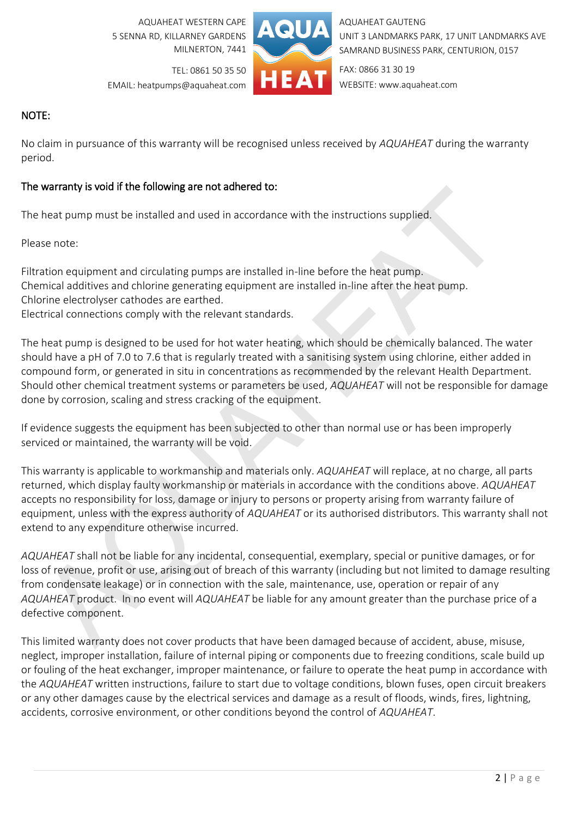AQUAHEAT WESTERN CAPE 5 SENNA RD, KILLARNEY GARDENS MILNERTON, 7441



AQUAHEAT GAUTENG UNIT 3 LANDMARKS PARK, 17 UNIT LANDMARKS AVE SAMRAND BUSINESS PARK, CENTURION, 0157

TEL: 0861 50 35 50 EMAIL: heatpumps@aquaheat.com FAX: 0866 31 30 19 WEBSITE: www.aquaheat.com

## NOTE:

No claim in pursuance of this warranty will be recognised unless received by *AQUAHEAT* during the warranty period.

### The warranty is void if the following are not adhered to:

The heat pump must be installed and used in accordance with the instructions supplied.

Please note:

Filtration equipment and circulating pumps are installed in-line before the heat pump. Chemical additives and chlorine generating equipment are installed in-line after the heat pump. Chlorine electrolyser cathodes are earthed. Electrical connections comply with the relevant standards.

The heat pump is designed to be used for hot water heating, which should be chemically balanced. The water should have a pH of 7.0 to 7.6 that is regularly treated with a sanitising system using chlorine, either added in compound form, or generated in situ in concentrations as recommended by the relevant Health Department. Should other chemical treatment systems or parameters be used, *AQUAHEAT* will not be responsible for damage done by corrosion, scaling and stress cracking of the equipment.

If evidence suggests the equipment has been subjected to other than normal use or has been improperly serviced or maintained, the warranty will be void.

This warranty is applicable to workmanship and materials only. *AQUAHEAT* will replace, at no charge, all parts returned, which display faulty workmanship or materials in accordance with the conditions above. *AQUAHEAT* accepts no responsibility for loss, damage or injury to persons or property arising from warranty failure of equipment, unless with the express authority of *AQUAHEAT* or its authorised distributors. This warranty shall not extend to any expenditure otherwise incurred.

*AQUAHEAT* shall not be liable for any incidental, consequential, exemplary, special or punitive damages, or for loss of revenue, profit or use, arising out of breach of this warranty (including but not limited to damage resulting from condensate leakage) or in connection with the sale, maintenance, use, operation or repair of any *AQUAHEAT* product. In no event will *AQUAHEAT* be liable for any amount greater than the purchase price of a defective component.

This limited warranty does not cover products that have been damaged because of accident, abuse, misuse, neglect, improper installation, failure of internal piping or components due to freezing conditions, scale build up or fouling of the heat exchanger, improper maintenance, or failure to operate the heat pump in accordance with the *AQUAHEAT* written instructions, failure to start due to voltage conditions, blown fuses, open circuit breakers or any other damages cause by the electrical services and damage as a result of floods, winds, fires, lightning, accidents, corrosive environment, or other conditions beyond the control of *AQUAHEAT*.